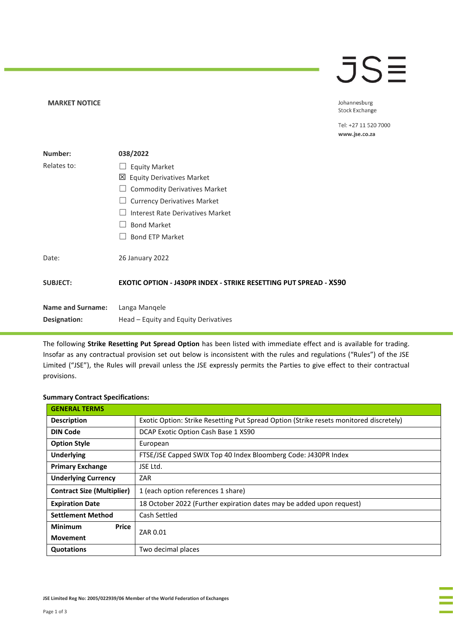## JSE

Johannesburg Stock Exchange

Tel: +27 11 520 7000 www.jse.co.za

| Number:                  | 038/2022                                                          |
|--------------------------|-------------------------------------------------------------------|
| Relates to:              | <b>Equity Market</b>                                              |
|                          | ⊠<br><b>Equity Derivatives Market</b>                             |
|                          | <b>Commodity Derivatives Market</b>                               |
|                          | <b>Currency Derivatives Market</b>                                |
|                          | Interest Rate Derivatives Market                                  |
|                          | <b>Bond Market</b>                                                |
|                          | <b>Bond ETP Market</b>                                            |
| Date:                    | 26 January 2022                                                   |
| <b>SUBJECT:</b>          | EXOTIC OPTION - J430PR INDEX - STRIKE RESETTING PUT SPREAD - XS90 |
| <b>Name and Surname:</b> | Langa Mangele                                                     |
| Designation:             | Head – Equity and Equity Derivatives                              |

The following **Strike Resetting Put Spread Option** has been listed with immediate effect and is available for trading. Insofar as any contractual provision set out below is inconsistent with the rules and regulations ("Rules") of the JSE Limited ("JSE"), the Rules will prevail unless the JSE expressly permits the Parties to give effect to their contractual provisions.

## **Summary Contract Specifications:**

**MARKET NOTICE** 

| <b>GENERAL TERMS</b>              |                                                                                        |  |
|-----------------------------------|----------------------------------------------------------------------------------------|--|
| <b>Description</b>                | Exotic Option: Strike Resetting Put Spread Option (Strike resets monitored discretely) |  |
| <b>DIN Code</b>                   | DCAP Exotic Option Cash Base 1 XS90                                                    |  |
| <b>Option Style</b>               | European                                                                               |  |
| <b>Underlying</b>                 | FTSE/JSE Capped SWIX Top 40 Index Bloomberg Code: J430PR Index                         |  |
| <b>Primary Exchange</b>           | JSE Ltd.                                                                               |  |
| <b>Underlying Currency</b>        | ZAR                                                                                    |  |
| <b>Contract Size (Multiplier)</b> | 1 (each option references 1 share)                                                     |  |
| <b>Expiration Date</b>            | 18 October 2022 (Further expiration dates may be added upon request)                   |  |
| <b>Settlement Method</b>          | Cash Settled                                                                           |  |
| <b>Minimum</b><br>Price           | ZAR 0.01                                                                               |  |
| <b>Movement</b>                   |                                                                                        |  |
| Quotations                        | Two decimal places                                                                     |  |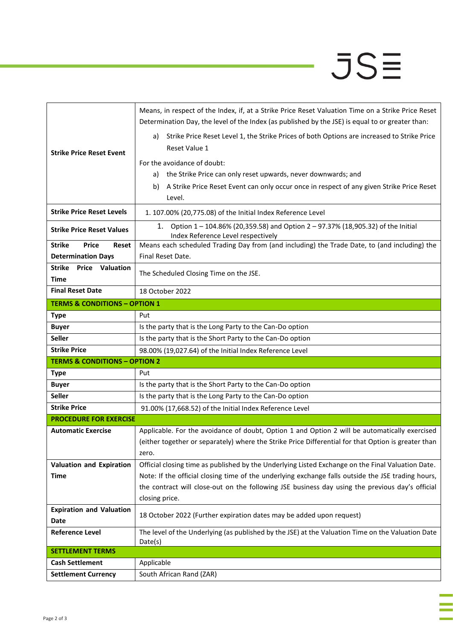## $JSE$

| <b>Strike Price Reset Event</b>               |                                                                                                     |  |
|-----------------------------------------------|-----------------------------------------------------------------------------------------------------|--|
|                                               | Means, in respect of the Index, if, at a Strike Price Reset Valuation Time on a Strike Price Reset  |  |
|                                               | Determination Day, the level of the Index (as published by the JSE) is equal to or greater than:    |  |
|                                               | Strike Price Reset Level 1, the Strike Prices of both Options are increased to Strike Price<br>a)   |  |
|                                               | Reset Value 1                                                                                       |  |
|                                               | For the avoidance of doubt:                                                                         |  |
|                                               | the Strike Price can only reset upwards, never downwards; and<br>a)                                 |  |
|                                               | A Strike Price Reset Event can only occur once in respect of any given Strike Price Reset<br>b)     |  |
|                                               | Level.                                                                                              |  |
| <b>Strike Price Reset Levels</b>              | 1. 107.00% (20,775.08) of the Initial Index Reference Level                                         |  |
|                                               | Option 1 - 104.86% (20,359.58) and Option 2 - 97.37% (18,905.32) of the Initial<br>1.               |  |
| <b>Strike Price Reset Values</b>              | Index Reference Level respectively                                                                  |  |
| <b>Strike</b><br><b>Price</b><br><b>Reset</b> | Means each scheduled Trading Day from (and including) the Trade Date, to (and including) the        |  |
| <b>Determination Days</b>                     | Final Reset Date.                                                                                   |  |
| <b>Strike</b><br><b>Price</b><br>Valuation    | The Scheduled Closing Time on the JSE.                                                              |  |
| <b>Time</b>                                   |                                                                                                     |  |
| <b>Final Reset Date</b>                       | 18 October 2022                                                                                     |  |
| <b>TERMS &amp; CONDITIONS - OPTION 1</b>      |                                                                                                     |  |
| <b>Type</b>                                   | Put                                                                                                 |  |
| <b>Buyer</b>                                  | Is the party that is the Long Party to the Can-Do option                                            |  |
| Seller                                        | Is the party that is the Short Party to the Can-Do option                                           |  |
| <b>Strike Price</b>                           | 98.00% (19,027.64) of the Initial Index Reference Level                                             |  |
| <b>TERMS &amp; CONDITIONS - OPTION 2</b>      |                                                                                                     |  |
| <b>Type</b>                                   | Put                                                                                                 |  |
| <b>Buyer</b>                                  | Is the party that is the Short Party to the Can-Do option                                           |  |
| <b>Seller</b>                                 | Is the party that is the Long Party to the Can-Do option                                            |  |
| <b>Strike Price</b>                           | 91.00% (17,668.52) of the Initial Index Reference Level                                             |  |
| <b>PROCEDURE FOR EXERCISE</b>                 |                                                                                                     |  |
| <b>Automatic Exercise</b>                     | Applicable. For the avoidance of doubt, Option 1 and Option 2 will be automatically exercised       |  |
|                                               | (either together or separately) where the Strike Price Differential for that Option is greater than |  |
|                                               | zero.                                                                                               |  |
| <b>Valuation and Expiration</b>               | Official closing time as published by the Underlying Listed Exchange on the Final Valuation Date.   |  |
| <b>Time</b>                                   | Note: If the official closing time of the underlying exchange falls outside the JSE trading hours,  |  |
|                                               | the contract will close-out on the following JSE business day using the previous day's official     |  |
|                                               | closing price.                                                                                      |  |
| <b>Expiration and Valuation</b>               | 18 October 2022 (Further expiration dates may be added upon request)                                |  |
| Date                                          |                                                                                                     |  |
| <b>Reference Level</b>                        | The level of the Underlying (as published by the JSE) at the Valuation Time on the Valuation Date   |  |
| <b>SETTLEMENT TERMS</b>                       | Date(s)                                                                                             |  |
| <b>Cash Settlement</b>                        | Applicable                                                                                          |  |
| <b>Settlement Currency</b>                    | South African Rand (ZAR)                                                                            |  |
|                                               |                                                                                                     |  |